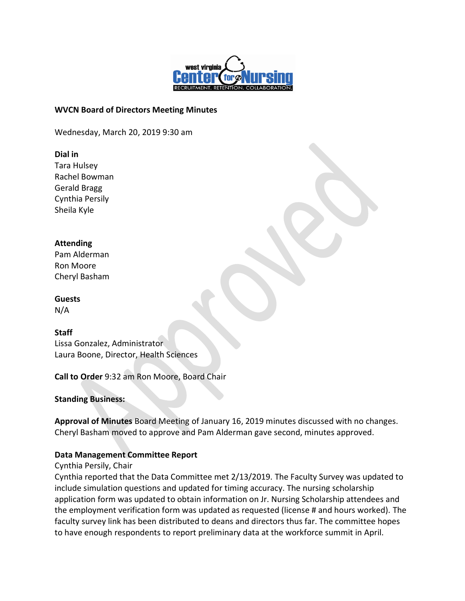

#### **WVCN Board of Directors Meeting Minutes**

Wednesday, March 20, 2019 9:30 am

#### **Dial in**

Tara Hulsey Rachel Bowman Gerald Bragg Cynthia Persily Sheila Kyle

## **Attending**

Pam Alderman Ron Moore Cheryl Basham

**Guests**

N/A

## **Staff**

Lissa Gonzalez, Administrator Laura Boone, Director, Health Sciences

**Call to Order** 9:32 am Ron Moore, Board Chair

**Standing Business:**

**Approval of Minutes** Board Meeting of January 16, 2019 minutes discussed with no changes. Cheryl Basham moved to approve and Pam Alderman gave second, minutes approved.

## **Data Management Committee Report**

#### Cynthia Persily, Chair

Cynthia reported that the Data Committee met 2/13/2019. The Faculty Survey was updated to include simulation questions and updated for timing accuracy. The nursing scholarship application form was updated to obtain information on Jr. Nursing Scholarship attendees and the employment verification form was updated as requested (license # and hours worked). The faculty survey link has been distributed to deans and directors thus far. The committee hopes to have enough respondents to report preliminary data at the workforce summit in April.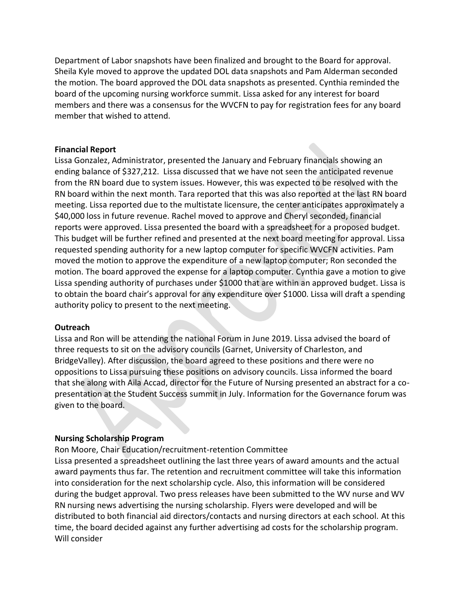Department of Labor snapshots have been finalized and brought to the Board for approval. Sheila Kyle moved to approve the updated DOL data snapshots and Pam Alderman seconded the motion. The board approved the DOL data snapshots as presented. Cynthia reminded the board of the upcoming nursing workforce summit. Lissa asked for any interest for board members and there was a consensus for the WVCFN to pay for registration fees for any board member that wished to attend.

#### **Financial Report**

Lissa Gonzalez, Administrator, presented the January and February financials showing an ending balance of \$327,212. Lissa discussed that we have not seen the anticipated revenue from the RN board due to system issues. However, this was expected to be resolved with the RN board within the next month. Tara reported that this was also reported at the last RN board meeting. Lissa reported due to the multistate licensure, the center anticipates approximately a \$40,000 loss in future revenue. Rachel moved to approve and Cheryl seconded, financial reports were approved. Lissa presented the board with a spreadsheet for a proposed budget. This budget will be further refined and presented at the next board meeting for approval. Lissa requested spending authority for a new laptop computer for specific WVCFN activities. Pam moved the motion to approve the expenditure of a new laptop computer; Ron seconded the motion. The board approved the expense for a laptop computer. Cynthia gave a motion to give Lissa spending authority of purchases under \$1000 that are within an approved budget. Lissa is to obtain the board chair's approval for any expenditure over \$1000. Lissa will draft a spending authority policy to present to the next meeting.

## **Outreach**

Lissa and Ron will be attending the national Forum in June 2019. Lissa advised the board of three requests to sit on the advisory councils (Garnet, University of Charleston, and BridgeValley). After discussion, the board agreed to these positions and there were no oppositions to Lissa pursuing these positions on advisory councils. Lissa informed the board that she along with Aila Accad, director for the Future of Nursing presented an abstract for a copresentation at the Student Success summit in July. Information for the Governance forum was given to the board.

## **Nursing Scholarship Program**

Ron Moore, Chair Education/recruitment-retention Committee

Lissa presented a spreadsheet outlining the last three years of award amounts and the actual award payments thus far. The retention and recruitment committee will take this information into consideration for the next scholarship cycle. Also, this information will be considered during the budget approval. Two press releases have been submitted to the WV nurse and WV RN nursing news advertising the nursing scholarship. Flyers were developed and will be distributed to both financial aid directors/contacts and nursing directors at each school. At this time, the board decided against any further advertising ad costs for the scholarship program. Will consider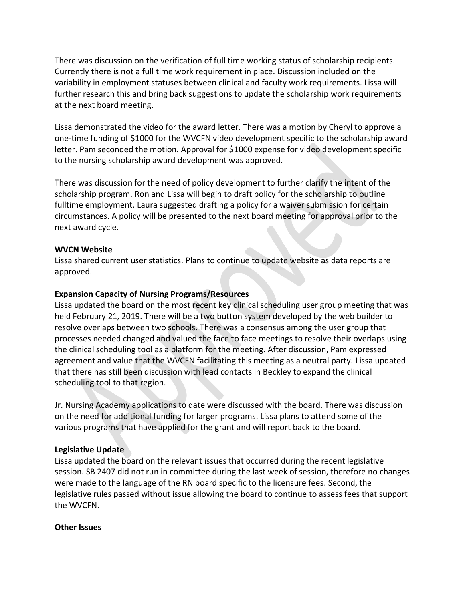There was discussion on the verification of full time working status of scholarship recipients. Currently there is not a full time work requirement in place. Discussion included on the variability in employment statuses between clinical and faculty work requirements. Lissa will further research this and bring back suggestions to update the scholarship work requirements at the next board meeting.

Lissa demonstrated the video for the award letter. There was a motion by Cheryl to approve a one-time funding of \$1000 for the WVCFN video development specific to the scholarship award letter. Pam seconded the motion. Approval for \$1000 expense for video development specific to the nursing scholarship award development was approved.

There was discussion for the need of policy development to further clarify the intent of the scholarship program. Ron and Lissa will begin to draft policy for the scholarship to outline fulltime employment. Laura suggested drafting a policy for a waiver submission for certain circumstances. A policy will be presented to the next board meeting for approval prior to the next award cycle.

# **WVCN Website**

Lissa shared current user statistics. Plans to continue to update website as data reports are approved.

# **Expansion Capacity of Nursing Programs/Resources**

Lissa updated the board on the most recent key clinical scheduling user group meeting that was held February 21, 2019. There will be a two button system developed by the web builder to resolve overlaps between two schools. There was a consensus among the user group that processes needed changed and valued the face to face meetings to resolve their overlaps using the clinical scheduling tool as a platform for the meeting. After discussion, Pam expressed agreement and value that the WVCFN facilitating this meeting as a neutral party. Lissa updated that there has still been discussion with lead contacts in Beckley to expand the clinical scheduling tool to that region.

Jr. Nursing Academy applications to date were discussed with the board. There was discussion on the need for additional funding for larger programs. Lissa plans to attend some of the various programs that have applied for the grant and will report back to the board.

## **Legislative Update**

Lissa updated the board on the relevant issues that occurred during the recent legislative session. SB 2407 did not run in committee during the last week of session, therefore no changes were made to the language of the RN board specific to the licensure fees. Second, the legislative rules passed without issue allowing the board to continue to assess fees that support the WVCFN.

## **Other Issues**